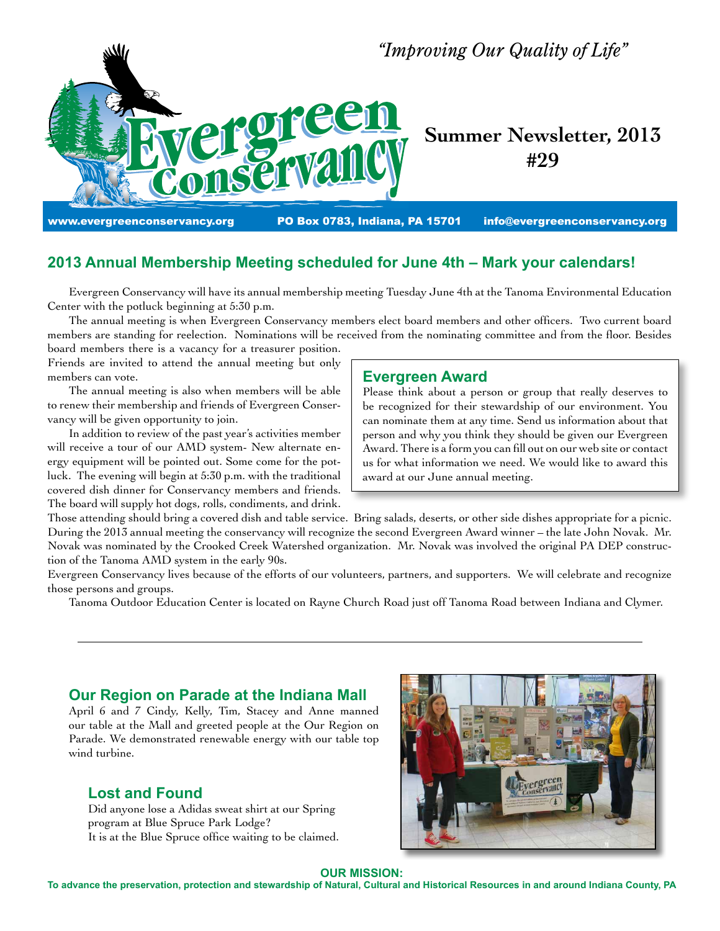

# **2013 Annual Membership Meeting scheduled for June 4th – Mark your calendars!**

 Evergreen Conservancy will have its annual membership meeting Tuesday June 4th at the Tanoma Environmental Education Center with the potluck beginning at 5:30 p.m.

 The annual meeting is when Evergreen Conservancy members elect board members and other officers. Two current board members are standing for reelection. Nominations will be received from the nominating committee and from the floor. Besides board members there is a vacancy for a treasurer position.

Friends are invited to attend the annual meeting but only members can vote.

 The annual meeting is also when members will be able to renew their membership and friends of Evergreen Conservancy will be given opportunity to join.

 In addition to review of the past year's activities member will receive a tour of our AMD system- New alternate energy equipment will be pointed out. Some come for the potluck. The evening will begin at 5:30 p.m. with the traditional covered dish dinner for Conservancy members and friends. The board will supply hot dogs, rolls, condiments, and drink.

# **Evergreen Award**

Please think about a person or group that really deserves to be recognized for their stewardship of our environment. You can nominate them at any time. Send us information about that person and why you think they should be given our Evergreen Award. There is a form you can fill out on our web site or contact us for what information we need. We would like to award this award at our June annual meeting.

Those attending should bring a covered dish and table service. Bring salads, deserts, or other side dishes appropriate for a picnic. During the 2013 annual meeting the conservancy will recognize the second Evergreen Award winner – the late John Novak. Mr. Novak was nominated by the Crooked Creek Watershed organization. Mr. Novak was involved the original PA DEP construction of the Tanoma AMD system in the early 90s.

Evergreen Conservancy lives because of the efforts of our volunteers, partners, and supporters. We will celebrate and recognize those persons and groups.

 Tanoma Outdoor Education Center is located on Rayne Church Road just off Tanoma Road between Indiana and Clymer.

# **Our Region on Parade at the Indiana Mall**

April 6 and 7 Cindy, Kelly, Tim, Stacey and Anne manned our table at the Mall and greeted people at the Our Region on Parade. We demonstrated renewable energy with our table top wind turbine.

# **Lost and Found**

Did anyone lose a Adidas sweat shirt at our Spring program at Blue Spruce Park Lodge? It is at the Blue Spruce office waiting to be claimed.



### **OUR MISSION:**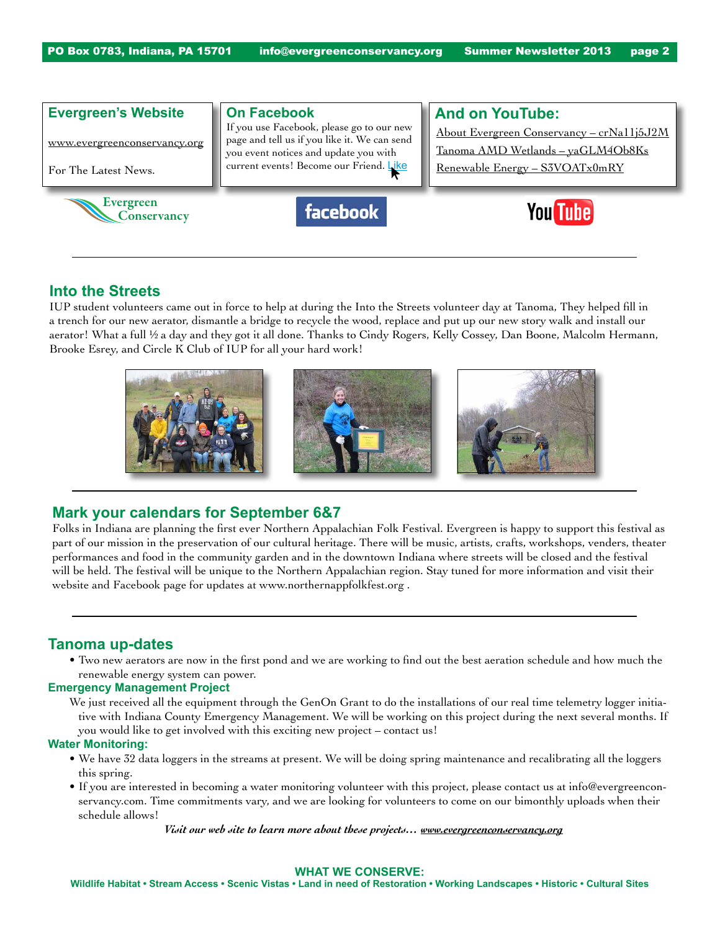

# **Into the Streets**

IUP student volunteers came out in force to help at during the Into the Streets volunteer day at Tanoma, They helped fill in a trench for our new aerator, dismantle a bridge to recycle the wood, replace and put up our new story walk and install our aerator! What a full ½ a day and they got it all done. Thanks to Cindy Rogers, Kelly Cossey, Dan Boone, Malcolm Hermann, Brooke Esrey, and Circle K Club of IUP for all your hard work!



## **Mark your calendars for September 6&7**

Folks in Indiana are planning the first ever Northern Appalachian Folk Festival. Evergreen is happy to support this festival as part of our mission in the preservation of our cultural heritage. There will be music, artists, crafts, workshops, venders, theater performances and food in the community garden and in the downtown Indiana where streets will be closed and the festival will be held. The festival will be unique to the Northern Appalachian region. Stay tuned for more information and visit their website and Facebook page for updates at www.northernappfolkfest.org .

# **Tanoma up-dates**

• Two new aerators are now in the first pond and we are working to find out the best aeration schedule and how much the renewable energy system can power.

### **Emergency Management Project**

We just received all the equipment through the GenOn Grant to do the installations of our real time telemetry logger initiative with Indiana County Emergency Management. We will be working on this project during the next several months. If you would like to get involved with this exciting new project – contact us!

### **Water Monitoring:**

- • We have 32 data loggers in the streams at present. We will be doing spring maintenance and recalibrating all the loggers this spring.
- • If you are interested in becoming a water monitoring volunteer with this project, please contact us at info@evergreenconservancy.com. Time commitments vary, and we are looking for volunteers to come on our bimonthly uploads when their schedule allows!

*Visit our web site to learn more about these projects… www.evergreenconservancy.org*

#### **WHAT WE CONSERVE:**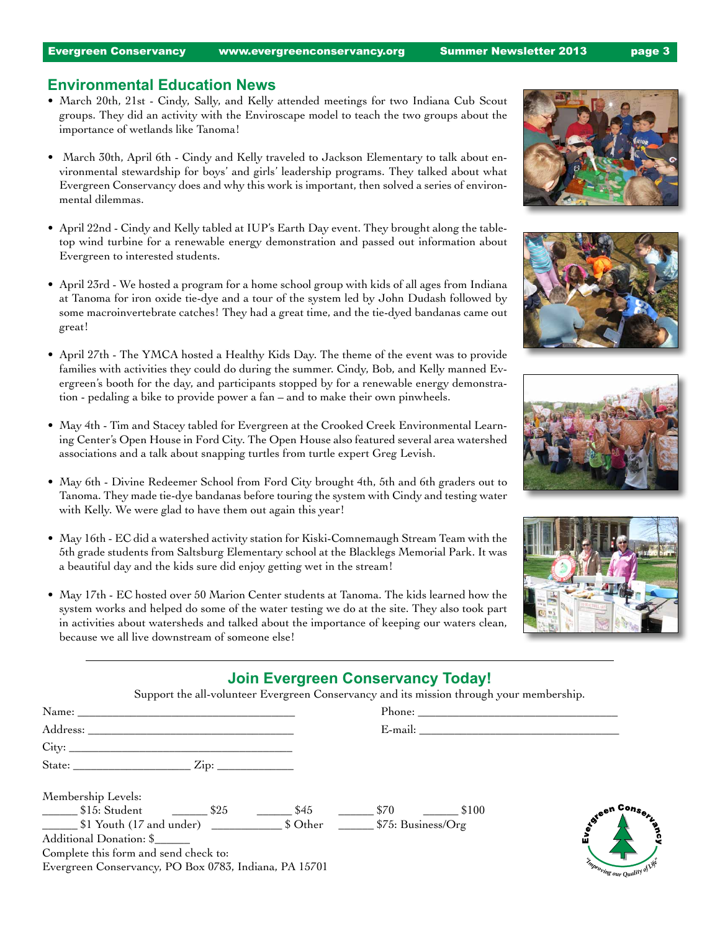## **Environmental Education News**

- March 20th, 21st Cindy, Sally, and Kelly attended meetings for two Indiana Cub Scout groups. They did an activity with the Enviroscape model to teach the two groups about the importance of wetlands like Tanoma!
- March 30th, April 6th Cindy and Kelly traveled to Jackson Elementary to talk about environmental stewardship for boys' and girls' leadership programs. They talked about what Evergreen Conservancy does and why this work is important, then solved a series of environmental dilemmas.
- • April 22nd Cindy and Kelly tabled at IUP's Earth Day event. They brought along the tabletop wind turbine for a renewable energy demonstration and passed out information about Evergreen to interested students.
- • April 23rd We hosted a program for a home school group with kids of all ages from Indiana at Tanoma for iron oxide tie-dye and a tour of the system led by John Dudash followed by some macroinvertebrate catches! They had a great time, and the tie-dyed bandanas came out great!
- • April 27th The YMCA hosted a Healthy Kids Day. The theme of the event was to provide families with activities they could do during the summer. Cindy, Bob, and Kelly manned Evergreen's booth for the day, and participants stopped by for a renewable energy demonstration - pedaling a bike to provide power a fan – and to make their own pinwheels.
- • May 4th Tim and Stacey tabled for Evergreen at the Crooked Creek Environmental Learning Center's Open House in Ford City. The Open House also featured several area watershed associations and a talk about snapping turtles from turtle expert Greg Levish.
- May 6th Divine Redeemer School from Ford City brought 4th, 5th and 6th graders out to Tanoma. They made tie-dye bandanas before touring the system with Cindy and testing water with Kelly. We were glad to have them out again this year!
- • May 16th EC did a watershed activity station for Kiski-Comnemaugh Stream Team with the 5th grade students from Saltsburg Elementary school at the Blacklegs Memorial Park. It was a beautiful day and the kids sure did enjoy getting wet in the stream!
- • May 17th EC hosted over 50 Marion Center students at Tanoma. The kids learned how the system works and helped do some of the water testing we do at the site. They also took part in activities about watersheds and talked about the importance of keeping our waters clean, because we all live downstream of someone else!









# **Join Evergreen Conservancy Today!**

Support the all-volunteer Evergreen Conservancy and its mission through your membership.

| Address:                                              | E-mail:       |                               |
|-------------------------------------------------------|---------------|-------------------------------|
|                                                       |               |                               |
|                                                       |               |                               |
| Membership Levels:                                    |               |                               |
| $$15: Student$ $$25$<br>$\$45$                        | \$70<br>\$100 | toteen Consert                |
| \$1 Youth (17 and under) 50ther 575: Business/Org     |               |                               |
| Additional Donation: \$                               |               |                               |
| Complete this form and send check to:                 |               |                               |
| Evergreen Conservancy, PO Box 0783, Indiana, PA 15701 |               | Emproving our Quality of Life |